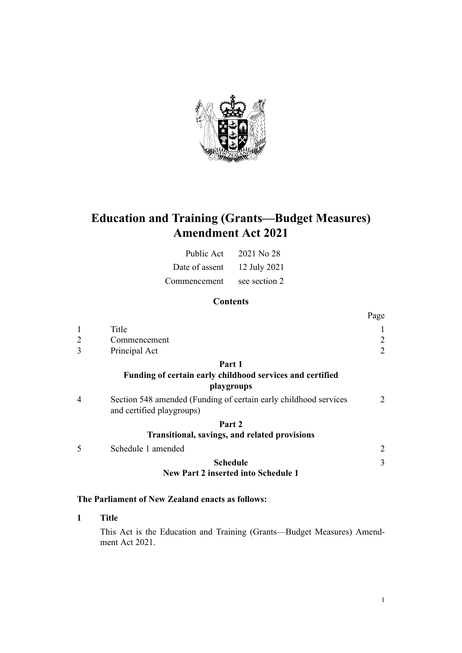

# **Education and Training (Grants—Budget Measures) Amendment Act 2021**

| Public Act     | 2021 No 28    |
|----------------|---------------|
| Date of assent | 12 July 2021  |
| Commencement   | see section 2 |

#### **Contents**

|                |                                                                                               | Page           |
|----------------|-----------------------------------------------------------------------------------------------|----------------|
|                | Title                                                                                         |                |
| 2              | Commencement                                                                                  | 2              |
| 3              | Principal Act                                                                                 | $\overline{2}$ |
|                | Part 1                                                                                        |                |
|                | Funding of certain early childhood services and certified<br>playgroups                       |                |
| $\overline{4}$ | Section 548 amended (Funding of certain early childhood services<br>and certified playgroups) | 2              |
|                | Part 2                                                                                        |                |
|                | Transitional, savings, and related provisions                                                 |                |
|                | Schedule 1 amended                                                                            | 2              |
|                | <b>Schedule</b>                                                                               | 3              |
|                | <b>New Part 2 inserted into Schedule 1</b>                                                    |                |
|                |                                                                                               |                |
|                |                                                                                               |                |

### **The Parliament of New Zealand enacts as follows:**

**1 Title**

This Act is the Education and Training (Grants—Budget Measures) Amend‐ ment Act 2021.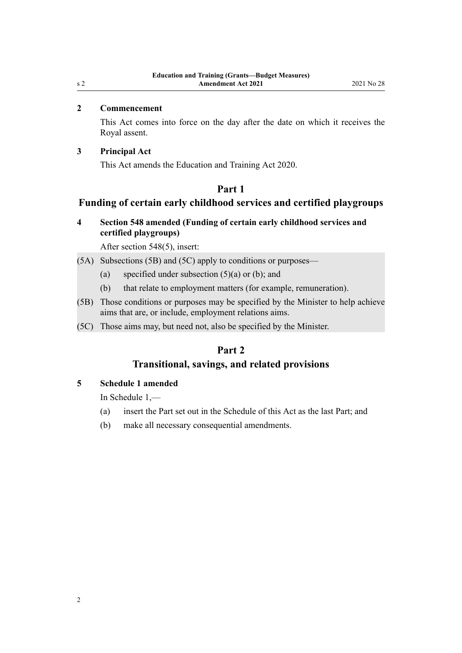#### <span id="page-1-0"></span>**2 Commencement**

This Act comes into force on the day after the date on which it receives the Royal assent.

#### **3 Principal Act**

This Act amends the [Education and Training Act 2020](http://legislation.govt.nz/pdflink.aspx?id=LMS170674).

#### **Part 1**

#### **Funding of certain early childhood services and certified playgroups**

#### **4 Section 548 amended (Funding of certain early childhood services and certified playgroups)**

After [section 548\(5\)](http://legislation.govt.nz/pdflink.aspx?id=LMS267825), insert:

- (5A) Subsections (5B) and (5C) apply to conditions or purposes—
	- (a) specified under subsection  $(5)(a)$  or  $(b)$ ; and
	- (b) that relate to employment matters (for example, remuneration).
- (5B) Those conditions or purposes may be specified by the Minister to help achieve aims that are, or include, employment relations aims.
- (5C) Those aims may, but need not, also be specified by the Minister.

#### **Part 2**

#### **Transitional, savings, and related provisions**

#### **5 Schedule 1 amended**

In [Schedule 1](http://legislation.govt.nz/pdflink.aspx?id=LMS172609),—

- (a) insert the Part set out in the [Schedule](#page-2-0) of this Act as the last Part; and
- (b) make all necessary consequential amendments.